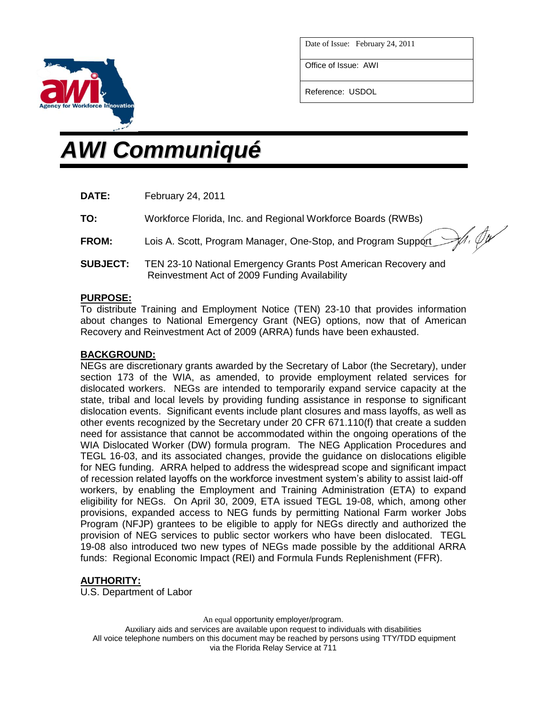

Zh, Ju

Office of Issue: AWI

Reference: USDOL

# *AWI Communiqué*

**TO:** Workforce Florida, Inc. and Regional Workforce Boards (RWBs)

- **FROM:** Lois A. Scott, Program Manager, One-Stop, and Program Support
- **SUBJECT:** TEN 23-10 National Emergency Grants Post American Recovery and Reinvestment Act of 2009 Funding Availability

## **PURPOSE:**

To distribute Training and Employment Notice (TEN) 23-10 that provides information about changes to National Emergency Grant (NEG) options, now that of American Recovery and Reinvestment Act of 2009 (ARRA) funds have been exhausted.

# **BACKGROUND:**

NEGs are discretionary grants awarded by the Secretary of Labor (the Secretary), under section 173 of the WIA, as amended, to provide employment related services for dislocated workers. NEGs are intended to temporarily expand service capacity at the state, tribal and local levels by providing funding assistance in response to significant dislocation events. Significant events include plant closures and mass layoffs, as well as other events recognized by the Secretary under 20 CFR 671.110(f) that create a sudden need for assistance that cannot be accommodated within the ongoing operations of the WIA Dislocated Worker (DW) formula program. The NEG Application Procedures and TEGL 16-03, and its associated changes, provide the guidance on dislocations eligible for NEG funding. ARRA helped to address the widespread scope and significant impact of recession related layoffs on the workforce investment system's ability to assist laid-off workers, by enabling the Employment and Training Administration (ETA) to expand eligibility for NEGs. On April 30, 2009, ETA issued TEGL 19-08, which, among other provisions, expanded access to NEG funds by permitting National Farm worker Jobs Program (NFJP) grantees to be eligible to apply for NEGs directly and authorized the provision of NEG services to public sector workers who have been dislocated. TEGL 19-08 also introduced two new types of NEGs made possible by the additional ARRA funds: Regional Economic Impact (REI) and Formula Funds Replenishment (FFR).

## **AUTHORITY:**

U.S. Department of Labor

An equal opportunity employer/program. Auxiliary aids and services are available upon request to individuals with disabilities All voice telephone numbers on this document may be reached by persons using TTY/TDD equipment via the Florida Relay Service at 711